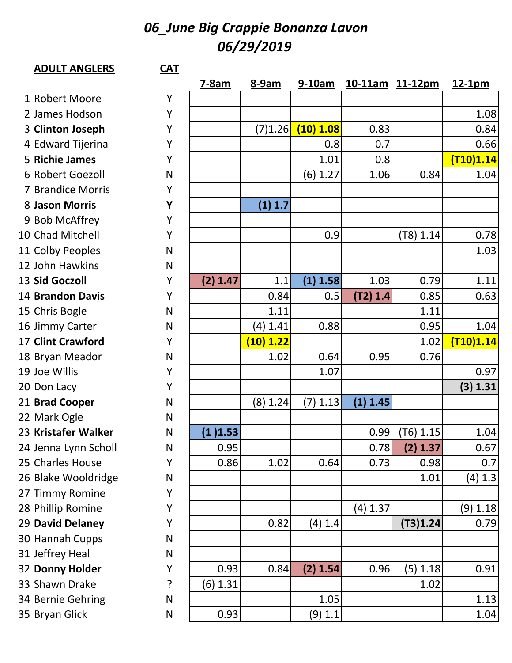## *06\_June Big Crappie Bonanza Lavon 06/29/2019*

| <b>ADULT ANGLERS</b>     | $CAT$        |          |            |            |            |                 |            |
|--------------------------|--------------|----------|------------|------------|------------|-----------------|------------|
|                          |              | $7-8am$  | 8-9am      | $9-10am$   |            | 10-11am 11-12pm | $12-1pm$   |
| 1 Robert Moore           | Y            |          |            |            |            |                 |            |
| 2 James Hodson           | Y            |          |            |            |            |                 | 1.08       |
| 3 Clinton Joseph         | Υ            |          | (7)1.26    | (10) 1.08  | 0.83       |                 | 0.84       |
| 4 Edward Tijerina        | Y            |          |            | 0.8        | 0.7        |                 | 0.66       |
| 5 Richie James           | Y            |          |            | 1.01       | 0.8        |                 | (T10)1.14  |
| 6 Robert Goezoll         | N            |          |            | (6) 1.27   | 1.06       | 0.84            | 1.04       |
| 7 Brandice Morris        | Y            |          |            |            |            |                 |            |
| 8 Jason Morris           | Y            |          | (1) 1.7    |            |            |                 |            |
| 9 Bob McAffrey           | Y            |          |            |            |            |                 |            |
| 10 Chad Mitchell         | Y            |          |            | 0.9        |            | (T8) 1.14       | 0.78       |
| 11 Colby Peoples         | $\mathsf{N}$ |          |            |            |            |                 | 1.03       |
| 12 John Hawkins          | N            |          |            |            |            |                 |            |
| 13 Sid Goczoll           | Y            | (2) 1.47 | 1.1        | (1) 1.58   | 1.03       | 0.79            | 1.11       |
| <b>14 Brandon Davis</b>  | Y            |          | 0.84       | 0.5        | (T2) 1.4   | 0.85            | 0.63       |
| 15 Chris Bogle           | $\mathsf{N}$ |          | 1.11       |            |            | 1.11            |            |
| 16 Jimmy Carter          | $\mathsf{N}$ |          | $(4)$ 1.41 | 0.88       |            | 0.95            | 1.04       |
| <b>17 Clint Crawford</b> | Y            |          | (10) 1.22  |            |            | 1.02            | (T10)1.14  |
| 18 Bryan Meador          | N            |          | 1.02       | 0.64       | 0.95       | 0.76            |            |
| 19 Joe Willis            | Y            |          |            | 1.07       |            |                 | 0.97       |
| 20 Don Lacy              | Y            |          |            |            |            |                 | (3) 1.31   |
| 21 Brad Cooper           | N            |          | (8) 1.24   | $(7)$ 1.13 | (1) 1.45   |                 |            |
| 22 Mark Ogle             | N            |          |            |            |            |                 |            |
| 23 Kristafer Walker      | N            | (1)1.53  |            |            | 0.99       | $(T6)$ 1.15     | 1.04       |
| 24 Jenna Lynn Scholl     | $\mathsf{N}$ | 0.95     |            |            | 0.78       | (2) 1.37        | 0.67       |
| 25 Charles House         | Y            | 0.86     | 1.02       | 0.64       | 0.73       | 0.98            | 0.7        |
| 26 Blake Wooldridge      | $\mathsf{N}$ |          |            |            |            | 1.01            | (4) 1.3    |
| 27 Timmy Romine          | Y            |          |            |            |            |                 |            |
| 28 Phillip Romine        | Y            |          |            |            | $(4)$ 1.37 |                 | $(9)$ 1.18 |
| 29 David Delaney         | Y            |          | 0.82       | (4) 1.4    |            | (T3)1.24        | 0.79       |
| 30 Hannah Cupps          | $\mathsf{N}$ |          |            |            |            |                 |            |
| 31 Jeffrey Heal          | $\mathsf{N}$ |          |            |            |            |                 |            |
| 32 Donny Holder          | Y            | 0.93     | 0.84       | (2) 1.54   | 0.96       | (5) 1.18        | 0.91       |
| 33 Shawn Drake           | ?            | (6) 1.31 |            |            |            | 1.02            |            |
| 34 Bernie Gehring        | $\mathsf{N}$ |          |            | 1.05       |            |                 | 1.13       |
| 35 Bryan Glick           | N            | 0.93     |            | $(9)$ 1.1  |            |                 | 1.04       |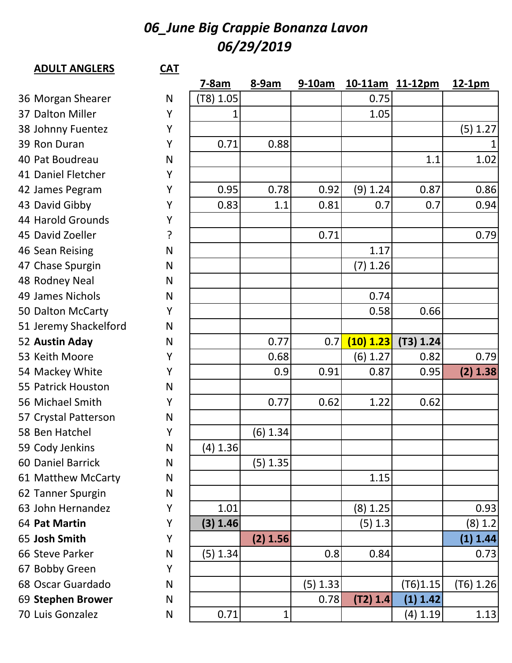## *06\_June Big Crappie Bonanza Lavon 06/29/2019*

## **ADULT ANGLERS CAT**

|                       |              | $7-8am$    | 8-9am    | $9-10am$ |           | 10-11am 11-12pm | 12-1pm      |
|-----------------------|--------------|------------|----------|----------|-----------|-----------------|-------------|
| 36 Morgan Shearer     | N            | (T8) 1.05  |          |          | 0.75      |                 |             |
| 37 Dalton Miller      | Y            | 1          |          |          | 1.05      |                 |             |
| 38 Johnny Fuentez     | Y            |            |          |          |           |                 | (5) 1.27    |
| 39 Ron Duran          | Y            | 0.71       | 0.88     |          |           |                 | $\mathbf 1$ |
| 40 Pat Boudreau       | N            |            |          |          |           | 1.1             | 1.02        |
| 41 Daniel Fletcher    | Y            |            |          |          |           |                 |             |
| 42 James Pegram       | Y            | 0.95       | 0.78     | 0.92     | (9) 1.24  | 0.87            | 0.86        |
| 43 David Gibby        | Y            | 0.83       | 1.1      | 0.81     | 0.7       | 0.7             | 0.94        |
| 44 Harold Grounds     | Υ            |            |          |          |           |                 |             |
| 45 David Zoeller      | ?            |            |          | 0.71     |           |                 | 0.79        |
| 46 Sean Reising       | N            |            |          |          | 1.17      |                 |             |
| 47 Chase Spurgin      | N            |            |          |          | (7) 1.26  |                 |             |
| 48 Rodney Neal        | N            |            |          |          |           |                 |             |
| 49 James Nichols      | N            |            |          |          | 0.74      |                 |             |
| 50 Dalton McCarty     | Y            |            |          |          | 0.58      | 0.66            |             |
| 51 Jeremy Shackelford | N            |            |          |          |           |                 |             |
| 52 Austin Aday        | N            |            | 0.77     | 0.7      | (10) 1.23 | (T3) 1.24       |             |
| 53 Keith Moore        | Y            |            | 0.68     |          | (6) 1.27  | 0.82            | 0.79        |
| 54 Mackey White       | Y            |            | 0.9      | 0.91     | 0.87      | 0.95            | (2) 1.38    |
| 55 Patrick Houston    | N            |            |          |          |           |                 |             |
| 56 Michael Smith      | Y            |            | 0.77     | 0.62     | 1.22      | 0.62            |             |
| 57 Crystal Patterson  | N            |            |          |          |           |                 |             |
| 58 Ben Hatchel        | Y            |            | (6) 1.34 |          |           |                 |             |
| 59 Cody Jenkins       | N            | $(4)$ 1.36 |          |          |           |                 |             |
| 60 Daniel Barrick     | $\mathsf{N}$ |            | (5) 1.35 |          |           |                 |             |
| 61 Matthew McCarty    | $\mathsf{N}$ |            |          |          | 1.15      |                 |             |
| 62 Tanner Spurgin     | N            |            |          |          |           |                 |             |
| 63 John Hernandez     | Y            | 1.01       |          |          | (8) 1.25  |                 | 0.93        |
| 64 Pat Martin         | Υ            | (3) 1.46   |          |          | (5) 1.3   |                 | (8) 1.2     |
| 65 Josh Smith         | Y            |            | (2) 1.56 |          |           |                 | (1) 1.44    |
| 66 Steve Parker       | N            | (5) 1.34   |          | 0.8      | 0.84      |                 | 0.73        |
| 67 Bobby Green        | Y            |            |          |          |           |                 |             |
| 68 Oscar Guardado     | N            |            |          | (5) 1.33 |           | (T6)1.15        | (T6) 1.26   |
| 69 Stephen Brower     | N            |            |          | 0.78     | (T2) 1.4  | (1) 1.42        |             |
| 70 Luis Gonzalez      | N            | 0.71       | 1        |          |           | (4) 1.19        | 1.13        |